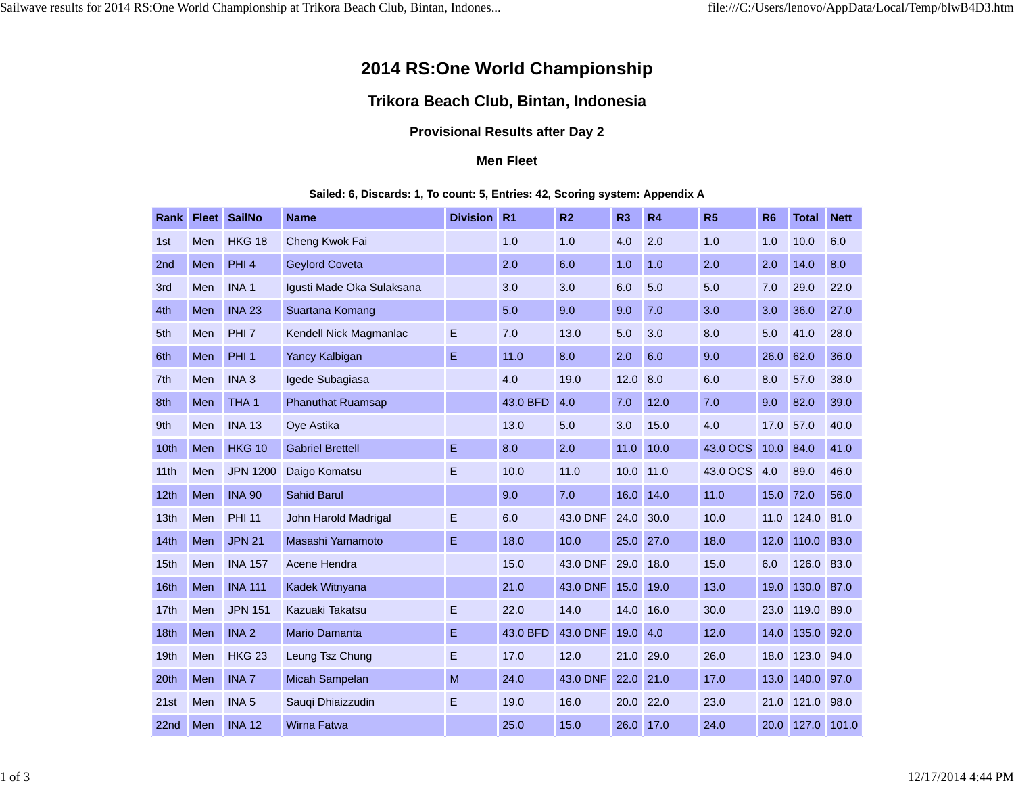# **2014 RS:One World Championship**

## **Trikora Beach Club, Bintan, Indonesia**

### **Provisional Results after Day 2**

#### **Men Fleet**

#### **Sailed: 6, Discards: 1, To count: 5, Entries: 42, Scoring system: Appendix A**

| Rank             | <b>Fleet</b> | <b>SailNo</b>    | <b>Name</b>               | <b>Division</b> | R <sub>1</sub> | R <sub>2</sub> | R <sub>3</sub> | R4   | R <sub>5</sub> | R <sub>6</sub> | <b>Total</b> | <b>Nett</b> |
|------------------|--------------|------------------|---------------------------|-----------------|----------------|----------------|----------------|------|----------------|----------------|--------------|-------------|
| 1st              | Men          | <b>HKG 18</b>    | Cheng Kwok Fai            |                 | 1.0            | 1.0            | 4.0            | 2.0  | 1.0            | 1.0            | 10.0         | 6.0         |
| 2nd              | Men          | PHI <sub>4</sub> | <b>Geylord Coveta</b>     |                 | 2.0            | 6.0            | 1.0            | 1.0  | 2.0            | 2.0            | 14.0         | 8.0         |
| 3rd              | Men          | INA <sub>1</sub> | Igusti Made Oka Sulaksana |                 | 3.0            | 3.0            | 6.0            | 5.0  | 5.0            | 7.0            | 29.0         | 22.0        |
| 4th              | Men          | <b>INA 23</b>    | Suartana Komang           |                 | 5.0            | 9.0            | 9.0            | 7.0  | 3.0            | 3.0            | 36.0         | 27.0        |
| 5th              | Men          | PHI <sub>7</sub> | Kendell Nick Magmanlac    | Е               | 7.0            | 13.0           | 5.0            | 3.0  | 8.0            | 5.0            | 41.0         | 28.0        |
| 6th              | Men          | PHI <sub>1</sub> | <b>Yancy Kalbigan</b>     | Е               | 11.0           | 8.0            | 2.0            | 6.0  | 9.0            | 26.0           | 62.0         | 36.0        |
| 7 <sup>th</sup>  | Men          | INA <sub>3</sub> | Igede Subagiasa           |                 | 4.0            | 19.0           | 12.0           | 8.0  | 6.0            | 8.0            | 57.0         | 38.0        |
| 8th              | Men          | THA <sub>1</sub> | <b>Phanuthat Ruamsap</b>  |                 | 43.0 BFD       | 4.0            | 7.0            | 12.0 | 7.0            | 9.0            | 82.0         | 39.0        |
| 9th              | Men          | <b>INA 13</b>    | Ove Astika                |                 | 13.0           | 5.0            | 3.0            | 15.0 | 4.0            | 17.0           | 57.0         | 40.0        |
| 10th             | Men          | <b>HKG 10</b>    | <b>Gabriel Brettell</b>   | Е               | 8.0            | 2.0            | 11.0           | 10.0 | 43.0 OCS       | 10.0           | 84.0         | 41.0        |
| 11th             | Men          | <b>JPN 1200</b>  | Daigo Komatsu             | Е               | 10.0           | 11.0           | 10.0           | 11.0 | 43.0 OCS       | 4.0            | 89.0         | 46.0        |
| 12 <sub>th</sub> | Men          | <b>INA 90</b>    | <b>Sahid Barul</b>        |                 | 9.0            | 7.0            | 16.0           | 14.0 | 11.0           | 15.0           | 72.0         | 56.0        |
| 13th             | Men          | <b>PHI 11</b>    | John Harold Madrigal      | Е               | 6.0            | 43.0 DNF       | 24.0           | 30.0 | 10.0           | 11.0           | 124.0        | 81.0        |
| 14th             | Men          | <b>JPN 21</b>    | Masashi Yamamoto          | Е               | 18.0           | 10.0           | 25.0           | 27.0 | 18.0           | 12.0           | 110.0        | 83.0        |
| 15th             | Men          | <b>INA 157</b>   | Acene Hendra              |                 | 15.0           | 43.0 DNF       | 29.0           | 18.0 | 15.0           | 6.0            | 126.0        | 83.0        |
| 16th             | Men          | <b>INA 111</b>   | Kadek Witnyana            |                 | 21.0           | 43.0 DNF       | 15.0           | 19.0 | 13.0           | 19.0           | 130.0        | 87.0        |
| 17 <sub>th</sub> | Men          | <b>JPN 151</b>   | Kazuaki Takatsu           | Е               | 22.0           | 14.0           | 14.0           | 16.0 | 30.0           | 23.0           | 119.0        | 89.0        |
| 18th             | Men          | INA <sub>2</sub> | <b>Mario Damanta</b>      | Е               | 43.0 BFD       | 43.0 DNF       | 19.0           | 4.0  | 12.0           | 14.0           | 135.0        | 92.0        |
| 19th             | Men          | <b>HKG 23</b>    | Leung Tsz Chung           | Е               | 17.0           | 12.0           | 21.0           | 29.0 | 26.0           | 18.0           | 123.0        | 94.0        |
| 20th             | Men          | <b>INA 7</b>     | Micah Sampelan            | M               | 24.0           | 43.0 DNF       | 22.0           | 21.0 | 17.0           | 13.0           | 140.0        | 97.0        |
| 21st             | Men          | INA <sub>5</sub> | Sauqi Dhiaizzudin         | Е               | 19.0           | 16.0           | 20.0           | 22.0 | 23.0           | 21.0           | 121.0        | 98.0        |
| 22nd             | Men          | <b>INA 12</b>    | <b>Wirna Fatwa</b>        |                 | 25.0           | 15.0           | 26.0           | 17.0 | 24.0           | 20.0           | 127.0        | 101.0       |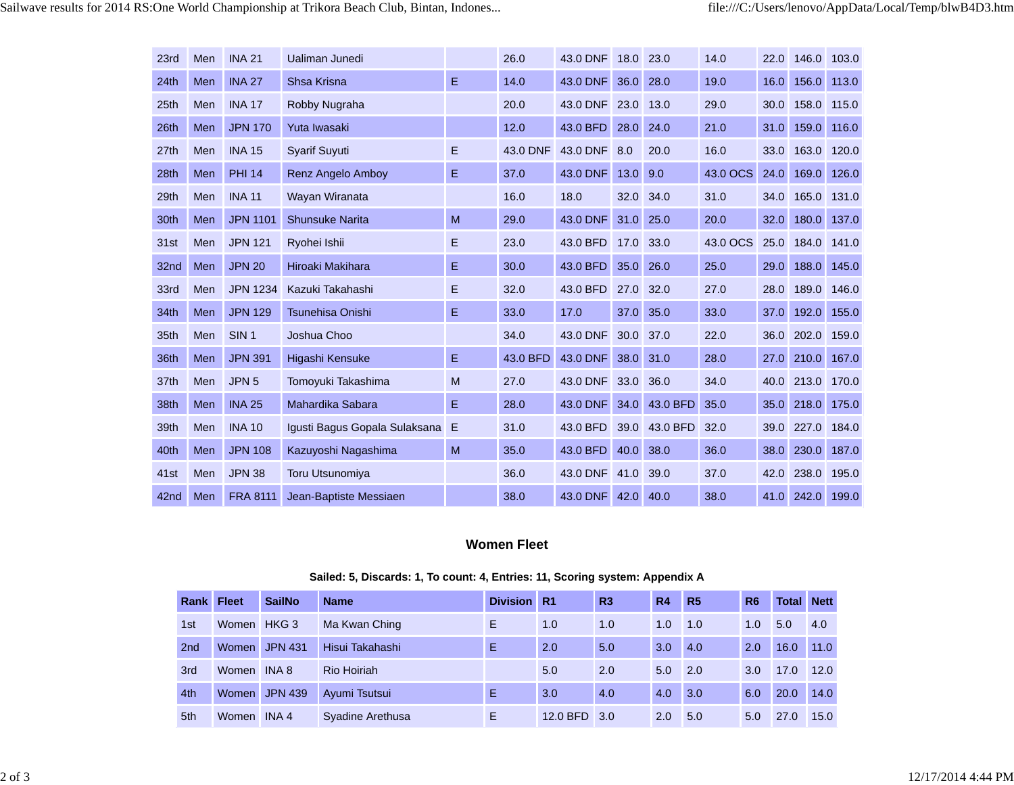| 23rd | Men | <b>INA 21</b>    | Ualiman Junedi                |   | 26.0     | 43.0 DNF | 18.0 | 23.0     | 14.0     | 22.0 | 146.0 | 103.0 |
|------|-----|------------------|-------------------------------|---|----------|----------|------|----------|----------|------|-------|-------|
| 24th | Men | <b>INA 27</b>    | Shsa Krisna                   | E | 14.0     | 43.0 DNF | 36.0 | 28.0     | 19.0     | 16.0 | 156.0 | 113.0 |
| 25th | Men | <b>INA 17</b>    | Robby Nugraha                 |   | 20.0     | 43.0 DNF | 23.0 | 13.0     | 29.0     | 30.0 | 158.0 | 115.0 |
| 26th | Men | <b>JPN 170</b>   | Yuta Iwasaki                  |   | 12.0     | 43.0 BFD | 28.0 | 24.0     | 21.0     | 31.0 | 159.0 | 116.0 |
| 27th | Men | <b>INA 15</b>    | <b>Svarif Suvuti</b>          | E | 43.0 DNF | 43.0 DNF | 8.0  | 20.0     | 16.0     | 33.0 | 163.0 | 120.0 |
| 28th | Men | <b>PHI 14</b>    | Renz Angelo Amboy             | E | 37.0     | 43.0 DNF | 13.0 | 9.0      | 43.0 OCS | 24.0 | 169.0 | 126.0 |
| 29th | Men | <b>INA 11</b>    | Wayan Wiranata                |   | 16.0     | 18.0     | 32.0 | 34.0     | 31.0     | 34.0 | 165.0 | 131.0 |
| 30th | Men | <b>JPN 1101</b>  | <b>Shunsuke Narita</b>        | M | 29.0     | 43.0 DNF | 31.0 | 25.0     | 20.0     | 32.0 | 180.0 | 137.0 |
| 31st | Men | <b>JPN 121</b>   | Ryohei Ishii                  | E | 23.0     | 43.0 BFD | 17.0 | 33.0     | 43.0 OCS | 25.0 | 184.0 | 141.0 |
| 32nd | Men | <b>JPN 20</b>    | Hiroaki Makihara              | Е | 30.0     | 43.0 BFD | 35.0 | 26.0     | 25.0     | 29.0 | 188.0 | 145.0 |
| 33rd | Men | <b>JPN 1234</b>  | Kazuki Takahashi              | E | 32.0     | 43.0 BFD | 27.0 | 32.0     | 27.0     | 28.0 | 189.0 | 146.0 |
| 34th | Men | <b>JPN 129</b>   | <b>Tsunehisa Onishi</b>       | Е | 33.0     | 17.0     | 37.0 | 35.0     | 33.0     | 37.0 | 192.0 | 155.0 |
| 35th | Men | SIN <sub>1</sub> | Joshua Choo                   |   | 34.0     | 43.0 DNF | 30.0 | 37.0     | 22.0     | 36.0 | 202.0 | 159.0 |
| 36th | Men | <b>JPN 391</b>   | Higashi Kensuke               | Е | 43.0 BFD | 43.0 DNF | 38.0 | 31.0     | 28.0     | 27.0 | 210.0 | 167.0 |
| 37th | Men | JPN <sub>5</sub> | Tomoyuki Takashima            | M | 27.0     | 43.0 DNF | 33.0 | 36.0     | 34.0     | 40.0 | 213.0 | 170.0 |
| 38th | Men | <b>INA 25</b>    | Mahardika Sabara              | E | 28.0     | 43.0 DNF | 34.0 | 43.0 BFD | 35.0     | 35.0 | 218.0 | 175.0 |
| 39th | Men | <b>INA 10</b>    | Igusti Bagus Gopala Sulaksana | Ε | 31.0     | 43.0 BFD | 39.0 | 43.0 BFD | 32.0     | 39.0 | 227.0 | 184.0 |
| 40th | Men | <b>JPN 108</b>   | Kazuyoshi Nagashima           | M | 35.0     | 43.0 BFD | 40.0 | 38.0     | 36.0     | 38.0 | 230.0 | 187.0 |
| 41st | Men | <b>JPN 38</b>    | <b>Toru Utsunomiya</b>        |   | 36.0     | 43.0 DNF | 41.0 | 39.0     | 37.0     | 42.0 | 238.0 | 195.0 |
| 42nd | Men | <b>FRA 8111</b>  | Jean-Baptiste Messiaen        |   | 38.0     | 43.0 DNF | 42.0 | 40.0     | 38.0     | 41.0 | 242.0 | 199.0 |

#### **Women Fleet**

|                 | <b>Rank Fleet</b> | <b>SailNo</b> | <b>Name</b>      | Division R1 |          | R <sub>3</sub> | <b>R4</b>        | R <sub>5</sub>    | R <sub>6</sub> | <b>Total Nett</b> |      |
|-----------------|-------------------|---------------|------------------|-------------|----------|----------------|------------------|-------------------|----------------|-------------------|------|
| 1st             | Women HKG 3       |               | Ma Kwan Ching    | Ε           | 1.0      | 1.0            | 1.0              | 1.0               | 1.0            | 5.0               | 4.0  |
| 2 <sub>nd</sub> |                   | Women JPN 431 | Hisui Takahashi  | Ε           | 2.0      | 5.0            | 3.0              | 4.0               | 2.0            | 16.0              | 11.0 |
| 3rd             | Women INA 8       |               | Rio Hoiriah      |             | 5.0      | 2.0            | $5.0\quad 2.0$   |                   | 3.0            | 17.0              | 12.0 |
| 4th             |                   | Women JPN 439 | Ayumi Tsutsui    | Ε           | 3.0      | 4.0            | 4.0 <sub>1</sub> | $\vert 3.0 \vert$ | 6.0            | 20.0              | 14.0 |
| 5th             | Women INA 4       |               | Syadine Arethusa | E.          | 12.0 BFD | 3.0            | 2.0              | 5.0               | 5.0            | 27.0              | 15.0 |

| Sailed: 5, Discards: 1, To count: 4, Entries: 11, Scoring system: Appendix A |  |  |  |
|------------------------------------------------------------------------------|--|--|--|
|                                                                              |  |  |  |
|                                                                              |  |  |  |